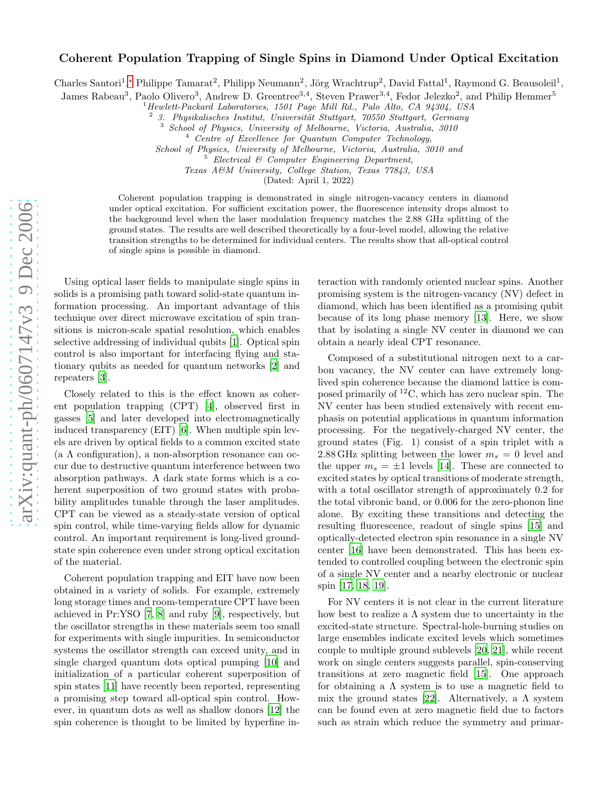## arXiv:quant-ph/0607147v3 9 Dec 2006 [arXiv:quant-ph/0607147v3 9 Dec 2006](http://arxiv.org/abs/quant-ph/0607147v3)

## Coherent Population Trapping of Single Spins in Diamond Under Optical Excitation

Charles Santori<sup>1</sup>,\* Philippe Tamarat<sup>2</sup>, Philipp Neumann<sup>2</sup>, Jörg Wrachtrup<sup>2</sup>, David Fattal<sup>1</sup>, Raymond G. Beausoleil<sup>1</sup>,

James Rabeau<sup>3</sup>, Paolo Olivero<sup>3</sup>, Andrew D. Greentree<sup>3,4</sup>, Steven Prawer<sup>3,4</sup>, Fedor Jelezko<sup>2</sup>, and Philip Hemmer<sup>5</sup>

 $^{1}$ Hewlett-Packard Laboratories, 1501 Page Mill Rd., Palo Alto, CA 94304, USA  $^{2}$  3. Physikalisches Institut, Universität Stuttgart, 70550 Stuttgart, Germany

School of Physics, University of Melbourne, Victoria, Australia, 3010  $4$  Centre of Excellence for Quantum Computer Technology,

School of Physics, University of Melbourne, Victoria, Australia, 3010 and <sup>5</sup> Electrical & Computer Engineering Department,

Texas A&M University, College Station, Texas 77843, USA

(Dated: April 1, 2022)

Coherent population trapping is demonstrated in single nitrogen-vacancy centers in diamond under optical excitation. For sufficient excitation power, the fluorescence intensity drops almost to the background level when the laser modulation frequency matches the 2.88 GHz splitting of the ground states. The results are well described theoretically by a four-level model, allowing the relative transition strengths to be determined for individual centers. The results show that all-optical control of single spins is possible in diamond.

Using optical laser fields to manipulate single spins in solids is a promising path toward solid-state quantum information processing. An important advantage of this technique over direct microwave excitation of spin transitions is micron-scale spatial resolution, which enables selective addressing of individual qubits [\[1\]](#page-3-1). Optical spin control is also important for interfacing flying and stationary qubits as needed for quantum networks [\[2](#page-3-2)] and repeaters [\[3\]](#page-3-3).

Closely related to this is the effect known as coherent population trapping (CPT) [\[4\]](#page-3-4), observed first in gasses [\[5\]](#page-3-5) and later developed into electromagnetically induced transparency (EIT) [\[6\]](#page-3-6). When multiple spin levels are driven by optical fields to a common excited state (a  $\Lambda$  configuration), a non-absorption resonance can occur due to destructive quantum interference between two absorption pathways. A dark state forms which is a coherent superposition of two ground states with probability amplitudes tunable through the laser amplitudes. CPT can be viewed as a steady-state version of optical spin control, while time-varying fields allow for dynamic control. An important requirement is long-lived groundstate spin coherence even under strong optical excitation of the material.

Coherent population trapping and EIT have now been obtained in a variety of solids. For example, extremely long storage times and room-temperature CPT have been achieved in Pr:YSO [\[7](#page-3-7), [8](#page-3-8)] and ruby [\[9\]](#page-3-9), respectively, but the oscillator strengths in these materials seem too small for experiments with single impurities. In semiconductor systems the oscillator strength can exceed unity, and in single charged quantum dots optical pumping [\[10\]](#page-3-10) and initialization of a particular coherent superposition of spin states [\[11](#page-3-11)] have recently been reported, representing a promising step toward all-optical spin control. However, in quantum dots as well as shallow donors [\[12\]](#page-3-12) the spin coherence is thought to be limited by hyperfine in-

teraction with randomly oriented nuclear spins. Another promising system is the nitrogen-vacancy (NV) defect in diamond, which has been identified as a promising qubit because of its long phase memory [\[13](#page-3-13)]. Here, we show that by isolating a single NV center in diamond we can obtain a nearly ideal CPT resonance.

Composed of a substitutional nitrogen next to a carbon vacancy, the NV center can have extremely longlived spin coherence because the diamond lattice is composed primarily of <sup>12</sup>C, which has zero nuclear spin. The NV center has been studied extensively with recent emphasis on potential applications in quantum information processing. For the negatively-charged NV center, the ground states (Fig. 1) consist of a spin triplet with a 2.88 GHz splitting between the lower  $m_s = 0$  level and the upper  $m_s = \pm 1$  levels [\[14](#page-3-14)]. These are connected to excited states by optical transitions of moderate strength, with a total oscillator strength of approximately 0 .2 for the total vibronic band, or 0 .006 for the zero-phonon line alone. By exciting these transitions and detecting the resulting fluorescence, readout of single spins [\[15\]](#page-3-15) and optically-detected electron spin resonance in a single NV center [\[16\]](#page-3-16) have been demonstrated. This has been extended to controlled coupling between the electronic spin of a single NV center and a nearby electronic or nuclear spin [\[17,](#page-3-17) [18,](#page-4-0) [19\]](#page-4-1).

For NV centers it is not clear in the current literature how best to realize a  $\Lambda$  system due to uncertainty in the excited-state structure. Spectral-hole-burning studies on large ensembles indicate excited levels which sometimes couple to multiple ground sublevels [\[20,](#page-4-2) [21\]](#page-4-3), while recent work on single centers suggests parallel, spin-conserving transitions at zero magnetic field [\[15\]](#page-3-15). One approach for obtaining a  $\Lambda$  system is to use a magnetic field to mix the ground states [\[22\]](#page-4-4). Alternatively, a  $\Lambda$  system can be found even at zero magnetic field due to factors such as strain which reduce the symmetry and primar-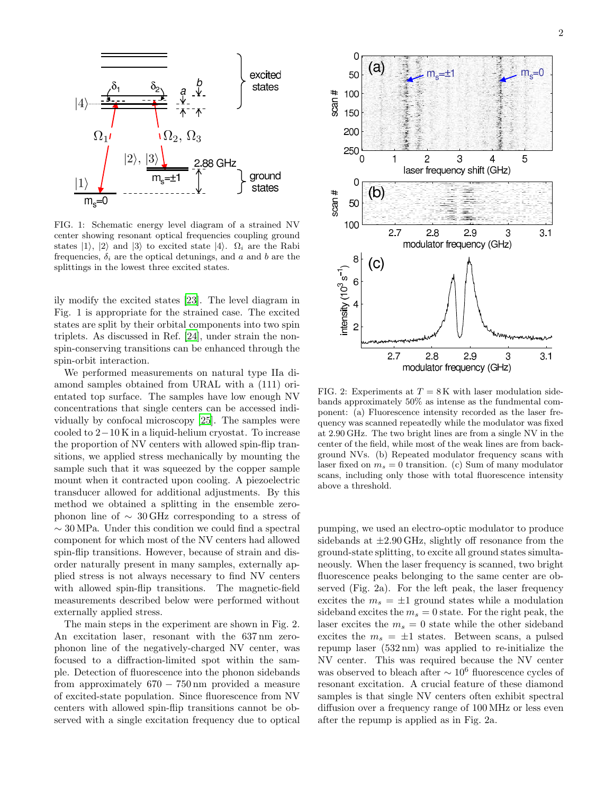

FIG. 1: Schematic energy level diagram of a strained NV center showing resonant optical frequencies coupling ground states  $|1\rangle$ ,  $|2\rangle$  and  $|3\rangle$  to excited state  $|4\rangle$ .  $\Omega_i$  are the Rabi frequencies,  $\delta_i$  are the optical detunings, and a and b are the splittings in the lowest three excited states.

ily modify the excited states [\[23](#page-4-5)]. The level diagram in Fig. 1 is appropriate for the strained case. The excited states are split by their orbital components into two spin triplets. As discussed in Ref. [\[24\]](#page-4-6), under strain the nonspin-conserving transitions can be enhanced through the spin-orbit interaction.

We performed measurements on natural type IIa diamond samples obtained from URAL with a (111) orientated top surface. The samples have low enough NV concentrations that single centers can be accessed individually by confocal microscopy [\[25](#page-4-7)]. The samples were cooled to 2−10 K in a liquid-helium cryostat. To increase the proportion of NV centers with allowed spin-flip transitions, we applied stress mechanically by mounting the sample such that it was squeezed by the copper sample mount when it contracted upon cooling. A piezoelectric transducer allowed for additional adjustments. By this method we obtained a splitting in the ensemble zerophonon line of  $\sim 30 \text{ GHz}$  corresponding to a stress of ∼ 30 MPa. Under this condition we could find a spectral component for which most of the NV centers had allowed spin-flip transitions. However, because of strain and disorder naturally present in many samples, externally applied stress is not always necessary to find NV centers with allowed spin-flip transitions. The magnetic-field measurements described below were performed without externally applied stress.

The main steps in the experiment are shown in Fig. 2. An excitation laser, resonant with the 637 nm zerophonon line of the negatively-charged NV center, was focused to a diffraction-limited spot within the sample. Detection of fluorescence into the phonon sidebands from approximately 670 − 750 nm provided a measure of excited-state population. Since fluorescence from NV centers with allowed spin-flip transitions cannot be observed with a single excitation frequency due to optical



FIG. 2: Experiments at  $T = 8$ K with laser modulation sidebands approximately 50% as intense as the fundmental component: (a) Fluorescence intensity recorded as the laser frequency was scanned repeatedly while the modulator was fixed at 2.90 GHz. The two bright lines are from a single NV in the center of the field, while most of the weak lines are from background NVs. (b) Repeated modulator frequency scans with laser fixed on  $m_s = 0$  transition. (c) Sum of many modulator scans, including only those with total fluorescence intensity above a threshold.

pumping, we used an electro-optic modulator to produce sidebands at  $\pm 2.90$  GHz, slightly off resonance from the ground-state splitting, to excite all ground states simultaneously. When the laser frequency is scanned, two bright fluorescence peaks belonging to the same center are observed (Fig. 2a). For the left peak, the laser frequency excites the  $m_s = \pm 1$  ground states while a modulation sideband excites the  $m_s = 0$  state. For the right peak, the laser excites the  $m_s = 0$  state while the other sideband excites the  $m_s = \pm 1$  states. Between scans, a pulsed repump laser (532 nm) was applied to re-initialize the NV center. This was required because the NV center was observed to bleach after  $\sim 10^6$  fluorescence cycles of resonant excitation. A crucial feature of these diamond samples is that single NV centers often exhibit spectral diffusion over a frequency range of 100 MHz or less even after the repump is applied as in Fig. 2a.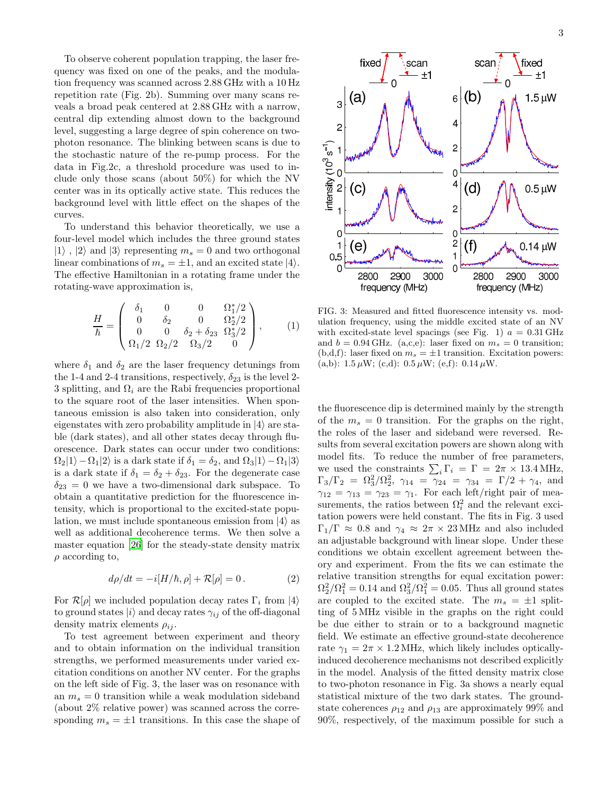To observe coherent population trapping, the laser frequency was fixed on one of the peaks, and the modulation frequency was scanned across 2.88 GHz with a 10 Hz repetition rate (Fig. 2b). Summing over many scans reveals a broad peak centered at 2.88 GHz with a narrow, central dip extending almost down to the background level, suggesting a large degree of spin coherence on twophoton resonance. The blinking between scans is due to the stochastic nature of the re-pump process. For the data in Fig.2c, a threshold procedure was used to include only those scans (about 50%) for which the NV center was in its optically active state. This reduces the background level with little effect on the shapes of the curves.

To understand this behavior theoretically, we use a four-level model which includes the three ground states  $|1\rangle$ ,  $|2\rangle$  and  $|3\rangle$  representing  $m_s = 0$  and two orthogonal linear combinations of  $m_s = \pm 1$ , and an excited state  $|4\rangle$ . The effective Hamiltonian in a rotating frame under the rotating-wave approximation is,

$$
\frac{H}{\hbar} = \begin{pmatrix} \delta_1 & 0 & 0 & \Omega_1^*/2 \\ 0 & \delta_2 & 0 & \Omega_2^*/2 \\ 0 & 0 & \delta_2 + \delta_{23} & \Omega_3^*/2 \\ \Omega_1/2 & \Omega_2/2 & \Omega_3/2 & 0 \end{pmatrix}, \qquad (1)
$$

where  $\delta_1$  and  $\delta_2$  are the laser frequency detunings from the 1-4 and 2-4 transitions, respectively,  $\delta_{23}$  is the level 2-3 splitting, and  $\Omega_i$  are the Rabi frequencies proportional to the square root of the laser intensities. When spontaneous emission is also taken into consideration, only eigenstates with zero probability amplitude in  $|4\rangle$  are stable (dark states), and all other states decay through fluorescence. Dark states can occur under two conditions:  $\Omega_2|1\rangle - \Omega_1|2\rangle$  is a dark state if  $\delta_1 = \delta_2$ , and  $\Omega_3|1\rangle - \Omega_1|3\rangle$ is a dark state if  $\delta_1 = \delta_2 + \delta_{23}$ . For the degenerate case  $\delta_{23} = 0$  we have a two-dimensional dark subspace. To obtain a quantitative prediction for the fluorescence intensity, which is proportional to the excited-state population, we must include spontaneous emission from  $|4\rangle$  as well as additional decoherence terms. We then solve a master equation [\[26\]](#page-4-8) for the steady-state density matrix  $\rho$  according to,

$$
d\rho/dt = -i[H/\hbar, \rho] + \mathcal{R}[\rho] = 0.
$$
 (2)

For  $\mathcal{R}[\rho]$  we included population decay rates  $\Gamma_i$  from  $|4\rangle$ to ground states  $|i\rangle$  and decay rates  $\gamma_{ij}$  of the off-diagonal density matrix elements  $\rho_{ij}$ .

To test agreement between experiment and theory and to obtain information on the individual transition strengths, we performed measurements under varied excitation conditions on another NV center. For the graphs on the left side of Fig. 3, the laser was on resonance with an  $m_s = 0$  transition while a weak modulation sideband (about 2% relative power) was scanned across the corresponding  $m_s = \pm 1$  transitions. In this case the shape of



FIG. 3: Measured and fitted fluorescence intensity vs. modulation frequency, using the middle excited state of an NV with excited-state level spacings (see Fig. 1)  $a = 0.31$  GHz and  $b = 0.94$  GHz. (a,c,e): laser fixed on  $m_s = 0$  transition;  $(b,d,f)$ : laser fixed on  $m_s = \pm 1$  transition. Excitation powers: (a,b):  $1.5 \,\mu$ W; (c,d):  $0.5 \,\mu$ W; (e,f):  $0.14 \,\mu$ W.

the fluorescence dip is determined mainly by the strength of the  $m_s = 0$  transition. For the graphs on the right, the roles of the laser and sideband were reversed. Results from several excitation powers are shown along with model fits. To reduce the number of free parameters, we used the constraints  $\sum_i \Gamma_i = \Gamma = 2\pi \times 13.4 \text{ MHz},$  $\Gamma_3/\Gamma_2 = \Omega_3^2/\Omega_2^2$ ,  $\gamma_{14} = \gamma_{24} = \gamma_{34} = \Gamma/2 + \gamma_4$ , and  $\gamma_{12} = \gamma_{13} = \gamma_{23} = \gamma_1$ . For each left/right pair of measurements, the ratios between  $\Omega_i^2$  and the relevant excitation powers were held constant. The fits in Fig. 3 used  $\Gamma_1/\Gamma \approx 0.8$  and  $\gamma_4 \approx 2\pi \times 23$  MHz and also included an adjustable background with linear slope. Under these conditions we obtain excellent agreement between theory and experiment. From the fits we can estimate the relative transition strengths for equal excitation power:  $\Omega_2^2/\Omega_1^2 = 0.14$  and  $\Omega_3^2/\Omega_1^2 = 0.05$ . Thus all ground states are coupled to the excited state. The  $m_s = \pm 1$  splitting of 5 MHz visible in the graphs on the right could be due either to strain or to a background magnetic field. We estimate an effective ground-state decoherence rate  $\gamma_1 = 2\pi \times 1.2 \text{ MHz}$ , which likely includes opticallyinduced decoherence mechanisms not described explicitly in the model. Analysis of the fitted density matrix close to two-photon resonance in Fig. 3a shows a nearly equal statistical mixture of the two dark states. The groundstate coherences  $\rho_{12}$  and  $\rho_{13}$  are approximately 99% and 90%, respectively, of the maximum possible for such a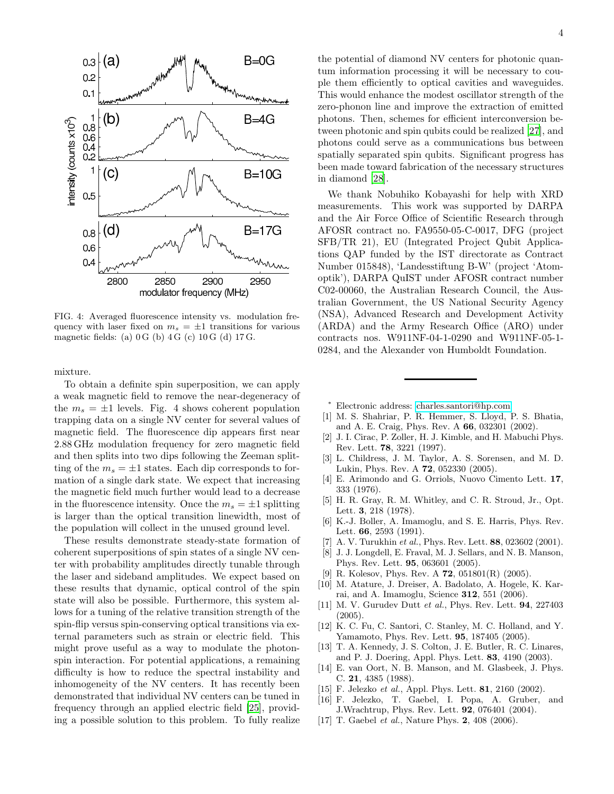

FIG. 4: Averaged fluorescence intensity vs. modulation frequency with laser fixed on  $m_s = \pm 1$  transitions for various magnetic fields: (a)  $0 G$  (b)  $4 G$  (c)  $10 G$  (d)  $17 G$ .

mixture.

To obtain a definite spin superposition, we can apply a weak magnetic field to remove the near-degeneracy of the  $m_s = \pm 1$  levels. Fig. 4 shows coherent population trapping data on a single NV center for several values of magnetic field. The fluorescence dip appears first near 2.88 GHz modulation frequency for zero magnetic field and then splits into two dips following the Zeeman splitting of the  $m_s = \pm 1$  states. Each dip corresponds to formation of a single dark state. We expect that increasing the magnetic field much further would lead to a decrease in the fluorescence intensity. Once the  $m_s = \pm 1$  splitting is larger than the optical transition linewidth, most of the population will collect in the unused ground level.

These results demonstrate steady-state formation of coherent superpositions of spin states of a single NV center with probability amplitudes directly tunable through the laser and sideband amplitudes. We expect based on these results that dynamic, optical control of the spin state will also be possible. Furthermore, this system allows for a tuning of the relative transition strength of the spin-flip versus spin-conserving optical transitions via external parameters such as strain or electric field. This might prove useful as a way to modulate the photonspin interaction. For potential applications, a remaining difficulty is how to reduce the spectral instability and inhomogeneity of the NV centers. It has recently been demonstrated that individual NV centers can be tuned in frequency through an applied electric field [\[25](#page-4-7)], providing a possible solution to this problem. To fully realize

the potential of diamond NV centers for photonic quantum information processing it will be necessary to couple them efficiently to optical cavities and waveguides. This would enhance the modest oscillator strength of the zero-phonon line and improve the extraction of emitted photons. Then, schemes for efficient interconversion between photonic and spin qubits could be realized [\[27\]](#page-4-9), and photons could serve as a communications bus between spatially separated spin qubits. Significant progress has been made toward fabrication of the necessary structures in diamond [\[28](#page-4-10)].

We thank Nobuhiko Kobayashi for help with XRD measurements. This work was supported by DARPA and the Air Force Office of Scientific Research through AFOSR contract no. FA9550-05-C-0017, DFG (project SFB/TR 21), EU (Integrated Project Qubit Applications QAP funded by the IST directorate as Contract Number 015848), 'Landesstiftung B-W' (project 'Atomoptik'), DARPA QuIST under AFOSR contract number C02-00060, the Australian Research Council, the Australian Government, the US National Security Agency (NSA), Advanced Research and Development Activity (ARDA) and the Army Research Office (ARO) under contracts nos. W911NF-04-1-0290 and W911NF-05-1- 0284, and the Alexander von Humboldt Foundation.

<span id="page-3-0"></span><sup>∗</sup> Electronic address: [charles.santori@hp.com](mailto:charles.santori@hp.com)

- <span id="page-3-1"></span>[1] M. S. Shahriar, P. R. Hemmer, S. Lloyd, P. S. Bhatia, and A. E. Craig, Phys. Rev. A 66, 032301 (2002).
- <span id="page-3-2"></span>[2] J. I. Cirac, P. Zoller, H. J. Kimble, and H. Mabuchi Phys. Rev. Lett. 78, 3221 (1997).
- <span id="page-3-3"></span>[3] L. Childress, J. M. Taylor, A. S. Sorensen, and M. D. Lukin, Phys. Rev. A 72, 052330 (2005).
- <span id="page-3-4"></span>[4] E. Arimondo and G. Orriols, Nuovo Cimento Lett. 17, 333 (1976).
- <span id="page-3-5"></span>[5] H. R. Gray, R. M. Whitley, and C. R. Stroud, Jr., Opt. Lett. 3, 218 (1978).
- <span id="page-3-6"></span>[6] K.-J. Boller, A. Imamoglu, and S. E. Harris, Phys. Rev. Lett. 66, 2593 (1991).
- <span id="page-3-7"></span>[7] A. V. Turukhin et al., Phys. Rev. Lett.  $88, 023602$  (2001).
- <span id="page-3-8"></span>[8] J. J. Longdell, E. Fraval, M. J. Sellars, and N. B. Manson, Phys. Rev. Lett. 95, 063601 (2005).
- <span id="page-3-9"></span>[9] R. Kolesov, Phys. Rev. A  $72$ ,  $051801(R)$  (2005).
- <span id="page-3-10"></span>[10] M. Atature, J. Dreiser, A. Badolato, A. Hogele, K. Karrai, and A. Imamoglu, Science 312, 551 (2006).
- <span id="page-3-11"></span>[11] M. V. Gurudev Dutt et al., Phys. Rev. Lett. 94, 227403 (2005).
- <span id="page-3-12"></span>[12] K. C. Fu, C. Santori, C. Stanley, M. C. Holland, and Y. Yamamoto, Phys. Rev. Lett. 95, 187405 (2005).
- <span id="page-3-13"></span>[13] T. A. Kennedy, J. S. Colton, J. E. Butler, R. C. Linares, and P. J. Doering, Appl. Phys. Lett. 83, 4190 (2003).
- <span id="page-3-14"></span>[14] E. van Oort, N. B. Manson, and M. Glasbeek, J. Phys. C. 21, 4385 (1988).
- <span id="page-3-15"></span>[15] F. Jelezko et al., Appl. Phys. Lett. **81**, 2160 (2002).
- <span id="page-3-16"></span>[16] F. Jelezko, T. Gaebel, I. Popa, A. Gruber, and J.Wrachtrup, Phys. Rev. Lett. 92, 076401 (2004).
- <span id="page-3-17"></span>[17] T. Gaebel *et al.*, Nature Phys. **2**, 408 (2006).